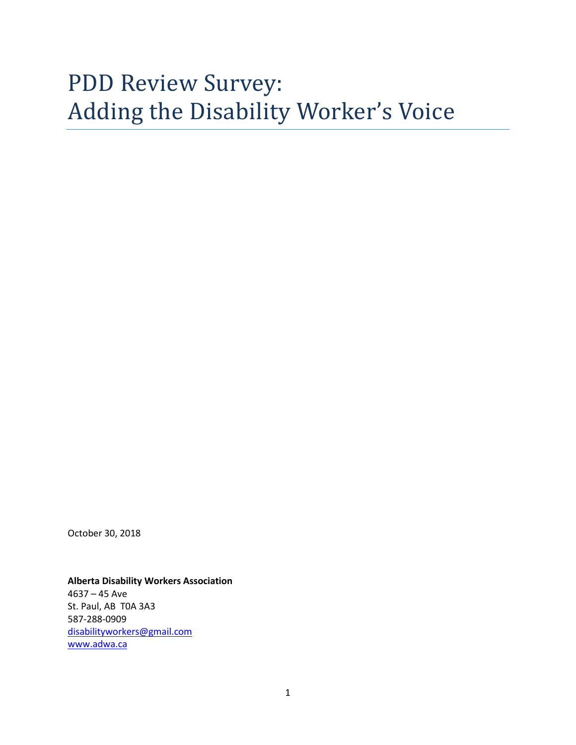# PDD Review Survey: Adding the Disability Worker's Voice

October 30, 2018

#### **Alberta Disability Workers Association**

4637 – 45 Ave St. Paul, AB T0A 3A3 587-288-0909 [disabilityworkers@gmail.com](mailto:disabilityworkers@gmail.com) [www.adwa.ca](http://www.adwa.ca/)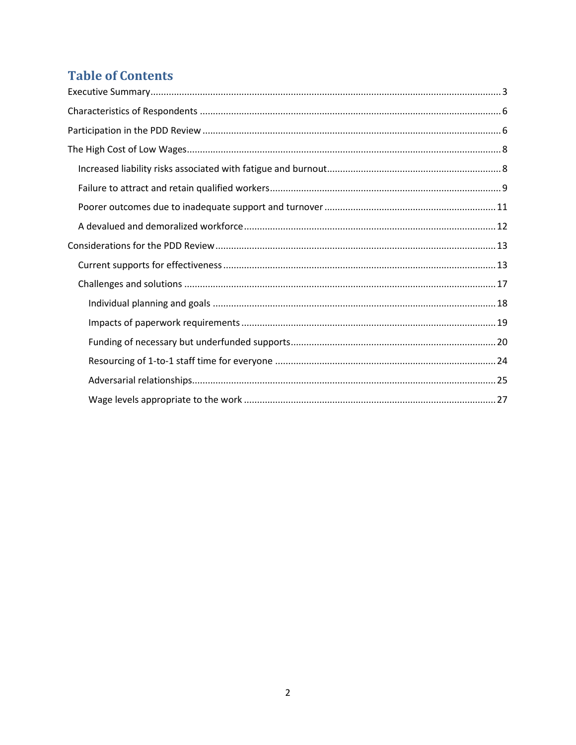## **Table of Contents**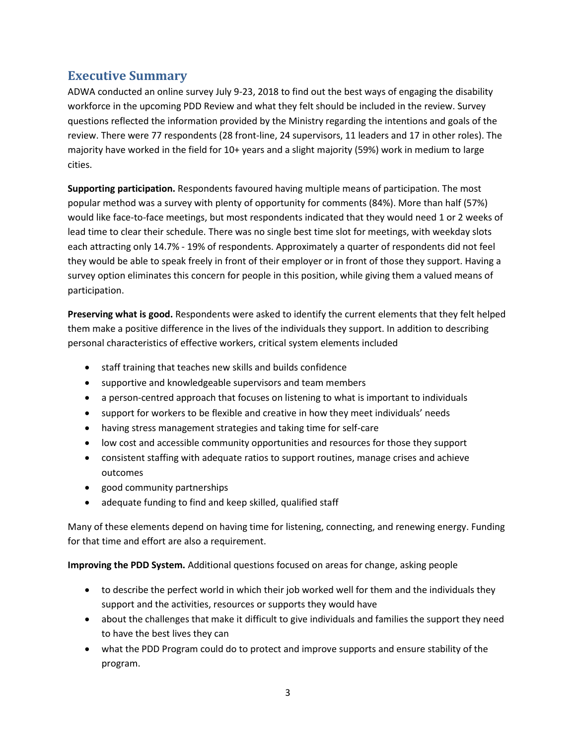## <span id="page-2-0"></span>**Executive Summary**

ADWA conducted an online survey July 9-23, 2018 to find out the best ways of engaging the disability workforce in the upcoming PDD Review and what they felt should be included in the review. Survey questions reflected the information provided by the Ministry regarding the intentions and goals of the review. There were 77 respondents (28 front-line, 24 supervisors, 11 leaders and 17 in other roles). The majority have worked in the field for 10+ years and a slight majority (59%) work in medium to large cities.

**Supporting participation.** Respondents favoured having multiple means of participation. The most popular method was a survey with plenty of opportunity for comments (84%). More than half (57%) would like face-to-face meetings, but most respondents indicated that they would need 1 or 2 weeks of lead time to clear their schedule. There was no single best time slot for meetings, with weekday slots each attracting only 14.7% - 19% of respondents. Approximately a quarter of respondents did not feel they would be able to speak freely in front of their employer or in front of those they support. Having a survey option eliminates this concern for people in this position, while giving them a valued means of participation.

**Preserving what is good.** Respondents were asked to identify the current elements that they felt helped them make a positive difference in the lives of the individuals they support. In addition to describing personal characteristics of effective workers, critical system elements included

- staff training that teaches new skills and builds confidence
- supportive and knowledgeable supervisors and team members
- a person-centred approach that focuses on listening to what is important to individuals
- support for workers to be flexible and creative in how they meet individuals' needs
- having stress management strategies and taking time for self-care
- low cost and accessible community opportunities and resources for those they support
- consistent staffing with adequate ratios to support routines, manage crises and achieve outcomes
- good community partnerships
- adequate funding to find and keep skilled, qualified staff

Many of these elements depend on having time for listening, connecting, and renewing energy. Funding for that time and effort are also a requirement.

**Improving the PDD System.** Additional questions focused on areas for change, asking people

- to describe the perfect world in which their job worked well for them and the individuals they support and the activities, resources or supports they would have
- about the challenges that make it difficult to give individuals and families the support they need to have the best lives they can
- what the PDD Program could do to protect and improve supports and ensure stability of the program.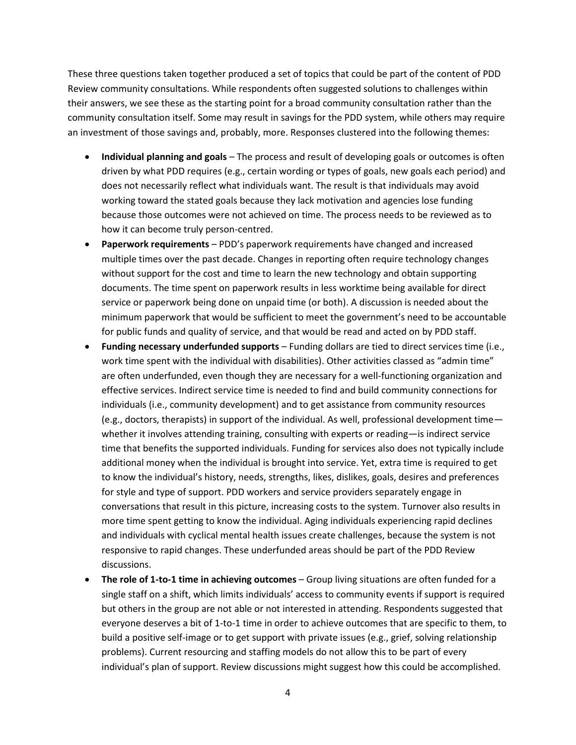These three questions taken together produced a set of topics that could be part of the content of PDD Review community consultations. While respondents often suggested solutions to challenges within their answers, we see these as the starting point for a broad community consultation rather than the community consultation itself. Some may result in savings for the PDD system, while others may require an investment of those savings and, probably, more. Responses clustered into the following themes:

- **Individual planning and goals** The process and result of developing goals or outcomes is often driven by what PDD requires (e.g., certain wording or types of goals, new goals each period) and does not necessarily reflect what individuals want. The result is that individuals may avoid working toward the stated goals because they lack motivation and agencies lose funding because those outcomes were not achieved on time. The process needs to be reviewed as to how it can become truly person-centred.
- **Paperwork requirements** PDD's paperwork requirements have changed and increased multiple times over the past decade. Changes in reporting often require technology changes without support for the cost and time to learn the new technology and obtain supporting documents. The time spent on paperwork results in less worktime being available for direct service or paperwork being done on unpaid time (or both). A discussion is needed about the minimum paperwork that would be sufficient to meet the government's need to be accountable for public funds and quality of service, and that would be read and acted on by PDD staff.
- **Funding necessary underfunded supports** Funding dollars are tied to direct services time (i.e., work time spent with the individual with disabilities). Other activities classed as "admin time" are often underfunded, even though they are necessary for a well-functioning organization and effective services. Indirect service time is needed to find and build community connections for individuals (i.e., community development) and to get assistance from community resources (e.g., doctors, therapists) in support of the individual. As well, professional development time whether it involves attending training, consulting with experts or reading—is indirect service time that benefits the supported individuals. Funding for services also does not typically include additional money when the individual is brought into service. Yet, extra time is required to get to know the individual's history, needs, strengths, likes, dislikes, goals, desires and preferences for style and type of support. PDD workers and service providers separately engage in conversations that result in this picture, increasing costs to the system. Turnover also results in more time spent getting to know the individual. Aging individuals experiencing rapid declines and individuals with cyclical mental health issues create challenges, because the system is not responsive to rapid changes. These underfunded areas should be part of the PDD Review discussions.
- **The role of 1-to-1 time in achieving outcomes** Group living situations are often funded for a single staff on a shift, which limits individuals' access to community events if support is required but others in the group are not able or not interested in attending. Respondents suggested that everyone deserves a bit of 1-to-1 time in order to achieve outcomes that are specific to them, to build a positive self-image or to get support with private issues (e.g., grief, solving relationship problems). Current resourcing and staffing models do not allow this to be part of every individual's plan of support. Review discussions might suggest how this could be accomplished.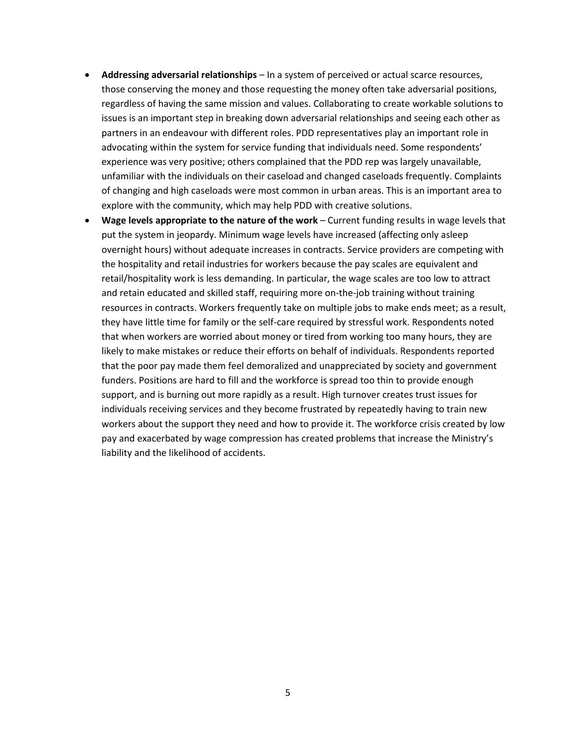- **Addressing adversarial relationships** In a system of perceived or actual scarce resources, those conserving the money and those requesting the money often take adversarial positions, regardless of having the same mission and values. Collaborating to create workable solutions to issues is an important step in breaking down adversarial relationships and seeing each other as partners in an endeavour with different roles. PDD representatives play an important role in advocating within the system for service funding that individuals need. Some respondents' experience was very positive; others complained that the PDD rep was largely unavailable, unfamiliar with the individuals on their caseload and changed caseloads frequently. Complaints of changing and high caseloads were most common in urban areas. This is an important area to explore with the community, which may help PDD with creative solutions.
- **Wage levels appropriate to the nature of the work** Current funding results in wage levels that put the system in jeopardy. Minimum wage levels have increased (affecting only asleep overnight hours) without adequate increases in contracts. Service providers are competing with the hospitality and retail industries for workers because the pay scales are equivalent and retail/hospitality work is less demanding. In particular, the wage scales are too low to attract and retain educated and skilled staff, requiring more on-the-job training without training resources in contracts. Workers frequently take on multiple jobs to make ends meet; as a result, they have little time for family or the self-care required by stressful work. Respondents noted that when workers are worried about money or tired from working too many hours, they are likely to make mistakes or reduce their efforts on behalf of individuals. Respondents reported that the poor pay made them feel demoralized and unappreciated by society and government funders. Positions are hard to fill and the workforce is spread too thin to provide enough support, and is burning out more rapidly as a result. High turnover creates trust issues for individuals receiving services and they become frustrated by repeatedly having to train new workers about the support they need and how to provide it. The workforce crisis created by low pay and exacerbated by wage compression has created problems that increase the Ministry's liability and the likelihood of accidents.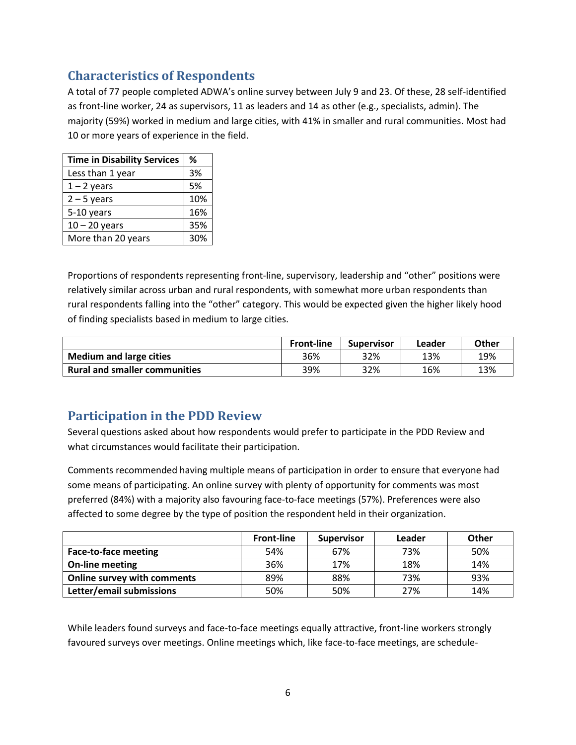## <span id="page-5-0"></span>**Characteristics of Respondents**

A total of 77 people completed ADWA's online survey between July 9 and 23. Of these, 28 self-identified as front-line worker, 24 as supervisors, 11 as leaders and 14 as other (e.g., specialists, admin). The majority (59%) worked in medium and large cities, with 41% in smaller and rural communities. Most had 10 or more years of experience in the field.

| <b>Time in Disability Services</b> | ℅   |
|------------------------------------|-----|
| Less than 1 year                   | 3%  |
| $1 - 2$ years                      | 5%  |
| $2 - 5$ years                      | 10% |
| 5-10 years                         | 16% |
| $10 - 20$ years                    | 35% |
| More than 20 years                 | 30% |

Proportions of respondents representing front-line, supervisory, leadership and "other" positions were relatively similar across urban and rural respondents, with somewhat more urban respondents than rural respondents falling into the "other" category. This would be expected given the higher likely hood of finding specialists based in medium to large cities.

|                                      | <b>Front-line</b> | <b>Supervisor</b> | Leader | <b>Other</b> |
|--------------------------------------|-------------------|-------------------|--------|--------------|
| <b>Medium and large cities</b>       | 36%               | 32%               | 13%    | 19%          |
| <b>Rural and smaller communities</b> | 39%               | 32%               | 16%    | 13%          |

## <span id="page-5-1"></span>**Participation in the PDD Review**

Several questions asked about how respondents would prefer to participate in the PDD Review and what circumstances would facilitate their participation.

Comments recommended having multiple means of participation in order to ensure that everyone had some means of participating. An online survey with plenty of opportunity for comments was most preferred (84%) with a majority also favouring face-to-face meetings (57%). Preferences were also affected to some degree by the type of position the respondent held in their organization.

|                                    | <b>Front-line</b> | <b>Supervisor</b> | Leader | <b>Other</b> |
|------------------------------------|-------------------|-------------------|--------|--------------|
| Face-to-face meeting               | 54%               | 67%               | 73%    | 50%          |
| On-line meeting                    | 36%               | 17%               | 18%    | 14%          |
| <b>Online survey with comments</b> | 89%               | 88%               | 73%    | 93%          |
| Letter/email submissions           | 50%               | 50%               | 27%    | 14%          |

While leaders found surveys and face-to-face meetings equally attractive, front-line workers strongly favoured surveys over meetings. Online meetings which, like face-to-face meetings, are schedule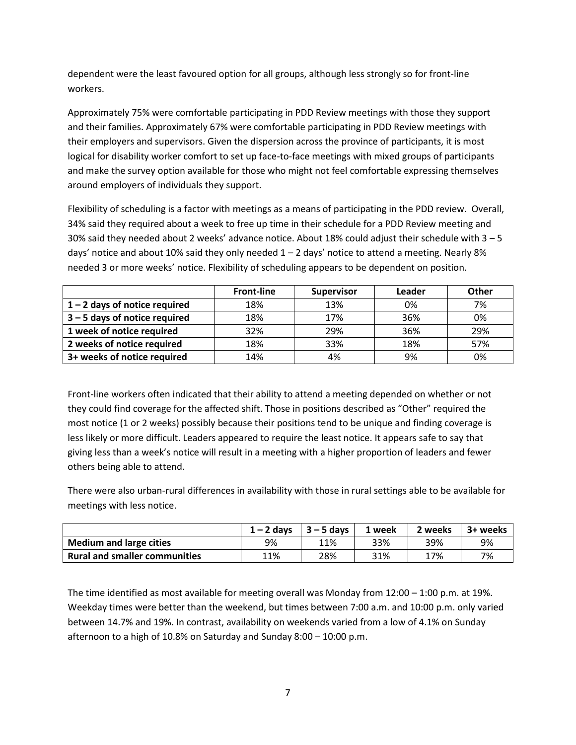dependent were the least favoured option for all groups, although less strongly so for front-line workers.

Approximately 75% were comfortable participating in PDD Review meetings with those they support and their families. Approximately 67% were comfortable participating in PDD Review meetings with their employers and supervisors. Given the dispersion across the province of participants, it is most logical for disability worker comfort to set up face-to-face meetings with mixed groups of participants and make the survey option available for those who might not feel comfortable expressing themselves around employers of individuals they support.

Flexibility of scheduling is a factor with meetings as a means of participating in the PDD review. Overall, 34% said they required about a week to free up time in their schedule for a PDD Review meeting and 30% said they needed about 2 weeks' advance notice. About 18% could adjust their schedule with  $3-5$ days' notice and about 10% said they only needed  $1 - 2$  days' notice to attend a meeting. Nearly 8% needed 3 or more weeks' notice. Flexibility of scheduling appears to be dependent on position.

|                                 | <b>Front-line</b> | <b>Supervisor</b> | Leader | Other |
|---------------------------------|-------------------|-------------------|--------|-------|
| $1 - 2$ days of notice required | 18%               | 13%               | 0%     | 7%    |
| $3 - 5$ days of notice required | 18%               | 17%               | 36%    | 0%    |
| 1 week of notice required       | 32%               | 29%               | 36%    | 29%   |
| 2 weeks of notice required      | 18%               | 33%               | 18%    | 57%   |
| 3+ weeks of notice required     | 14%               | 4%                | 9%     | 0%    |

Front-line workers often indicated that their ability to attend a meeting depended on whether or not they could find coverage for the affected shift. Those in positions described as "Other" required the most notice (1 or 2 weeks) possibly because their positions tend to be unique and finding coverage is less likely or more difficult. Leaders appeared to require the least notice. It appears safe to say that giving less than a week's notice will result in a meeting with a higher proportion of leaders and fewer others being able to attend.

There were also urban-rural differences in availability with those in rural settings able to be available for meetings with less notice.

|                                      | $1 - 2$ days | $3 - 5$ days | 1 week | 2 weeks | 3+ weeks |
|--------------------------------------|--------------|--------------|--------|---------|----------|
| <b>Medium and large cities</b>       | 9%           | 11%          | 33%    | 39%     | 9%       |
| <b>Rural and smaller communities</b> | 11%          | 28%          | 31%    | 17%     | 7%       |

The time identified as most available for meeting overall was Monday from 12:00 – 1:00 p.m. at 19%. Weekday times were better than the weekend, but times between 7:00 a.m. and 10:00 p.m. only varied between 14.7% and 19%. In contrast, availability on weekends varied from a low of 4.1% on Sunday afternoon to a high of 10.8% on Saturday and Sunday 8:00 – 10:00 p.m.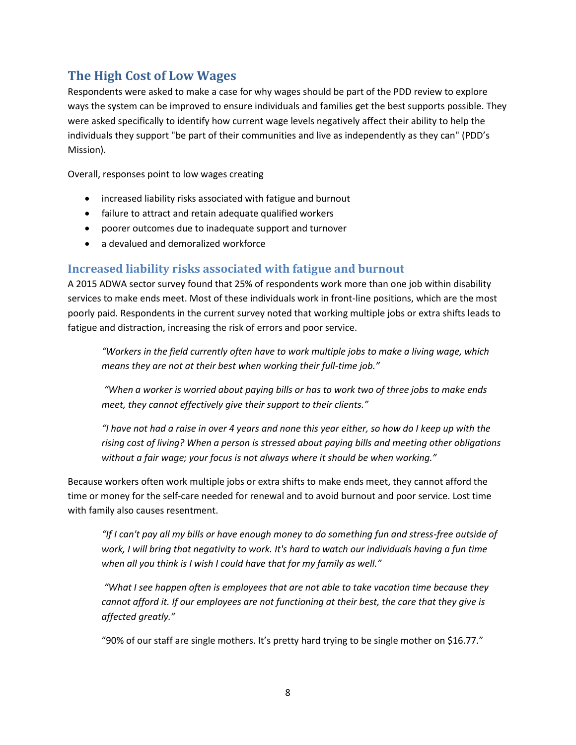## <span id="page-7-0"></span>**The High Cost of Low Wages**

Respondents were asked to make a case for why wages should be part of the PDD review to explore ways the system can be improved to ensure individuals and families get the best supports possible. They were asked specifically to identify how current wage levels negatively affect their ability to help the individuals they support "be part of their communities and live as independently as they can" (PDD's Mission).

Overall, responses point to low wages creating

- increased liability risks associated with fatigue and burnout
- failure to attract and retain adequate qualified workers
- poorer outcomes due to inadequate support and turnover
- a devalued and demoralized workforce

#### <span id="page-7-1"></span>**Increased liability risks associated with fatigue and burnout**

A 2015 ADWA sector survey found that 25% of respondents work more than one job within disability services to make ends meet. Most of these individuals work in front-line positions, which are the most poorly paid. Respondents in the current survey noted that working multiple jobs or extra shifts leads to fatigue and distraction, increasing the risk of errors and poor service.

*"Workers in the field currently often have to work multiple jobs to make a living wage, which means they are not at their best when working their full-time job."*

*"When a worker is worried about paying bills or has to work two of three jobs to make ends meet, they cannot effectively give their support to their clients."*

*"I have not had a raise in over 4 years and none this year either, so how do I keep up with the rising cost of living? When a person is stressed about paying bills and meeting other obligations without a fair wage; your focus is not always where it should be when working."*

Because workers often work multiple jobs or extra shifts to make ends meet, they cannot afford the time or money for the self-care needed for renewal and to avoid burnout and poor service. Lost time with family also causes resentment.

*"If I can't pay all my bills or have enough money to do something fun and stress-free outside of work, I will bring that negativity to work. It's hard to watch our individuals having a fun time when all you think is I wish I could have that for my family as well."*

*"What I see happen often is employees that are not able to take vacation time because they cannot afford it. If our employees are not functioning at their best, the care that they give is affected greatly."*

"90% of our staff are single mothers. It's pretty hard trying to be single mother on \$16.77."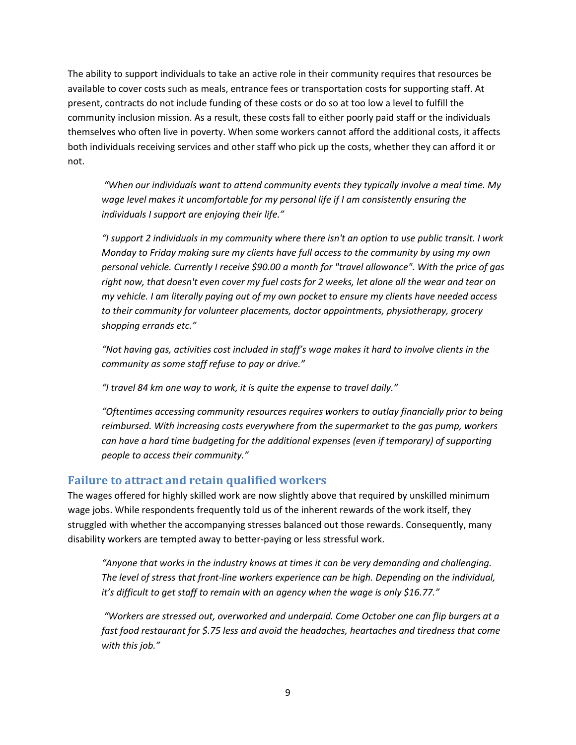The ability to support individuals to take an active role in their community requires that resources be available to cover costs such as meals, entrance fees or transportation costs for supporting staff. At present, contracts do not include funding of these costs or do so at too low a level to fulfill the community inclusion mission. As a result, these costs fall to either poorly paid staff or the individuals themselves who often live in poverty. When some workers cannot afford the additional costs, it affects both individuals receiving services and other staff who pick up the costs, whether they can afford it or not.

*"When our individuals want to attend community events they typically involve a meal time. My wage level makes it uncomfortable for my personal life if I am consistently ensuring the individuals I support are enjoying their life."*

*"I support 2 individuals in my community where there isn't an option to use public transit. I work Monday to Friday making sure my clients have full access to the community by using my own personal vehicle. Currently I receive \$90.00 a month for "travel allowance". With the price of gas right now, that doesn't even cover my fuel costs for 2 weeks, let alone all the wear and tear on my vehicle. I am literally paying out of my own pocket to ensure my clients have needed access to their community for volunteer placements, doctor appointments, physiotherapy, grocery shopping errands etc."*

*"Not having gas, activities cost included in staff's wage makes it hard to involve clients in the community as some staff refuse to pay or drive."*

*"I travel 84 km one way to work, it is quite the expense to travel daily."*

*"Oftentimes accessing community resources requires workers to outlay financially prior to being reimbursed. With increasing costs everywhere from the supermarket to the gas pump, workers can have a hard time budgeting for the additional expenses (even if temporary) of supporting people to access their community."*

## <span id="page-8-0"></span>**Failure to attract and retain qualified workers**

The wages offered for highly skilled work are now slightly above that required by unskilled minimum wage jobs. While respondents frequently told us of the inherent rewards of the work itself, they struggled with whether the accompanying stresses balanced out those rewards. Consequently, many disability workers are tempted away to better-paying or less stressful work.

*"Anyone that works in the industry knows at times it can be very demanding and challenging. The level of stress that front-line workers experience can be high. Depending on the individual, it's difficult to get staff to remain with an agency when the wage is only \$16.77."*

*"Workers are stressed out, overworked and underpaid. Come October one can flip burgers at a fast food restaurant for \$.75 less and avoid the headaches, heartaches and tiredness that come with this job."*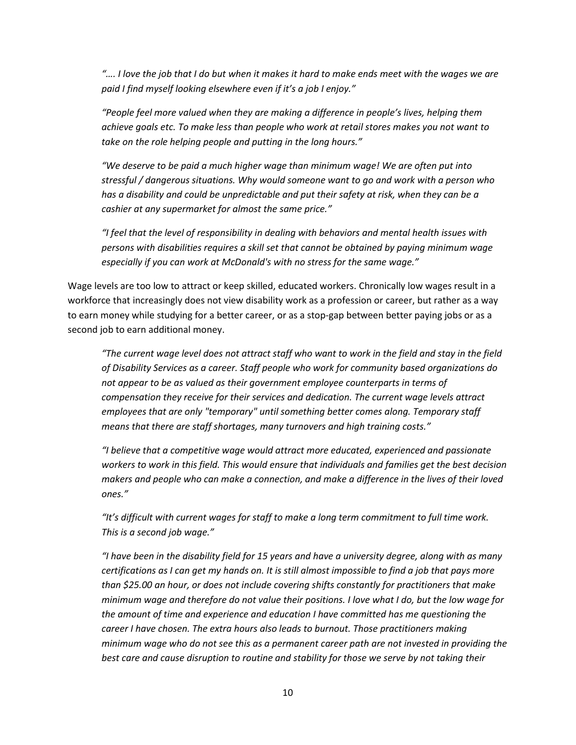*"…. I love the job that I do but when it makes it hard to make ends meet with the wages we are paid I find myself looking elsewhere even if it's a job I enjoy."*

*"People feel more valued when they are making a difference in people's lives, helping them achieve goals etc. To make less than people who work at retail stores makes you not want to take on the role helping people and putting in the long hours."*

*"We deserve to be paid a much higher wage than minimum wage! We are often put into stressful / dangerous situations. Why would someone want to go and work with a person who has a disability and could be unpredictable and put their safety at risk, when they can be a cashier at any supermarket for almost the same price."*

*"I feel that the level of responsibility in dealing with behaviors and mental health issues with persons with disabilities requires a skill set that cannot be obtained by paying minimum wage especially if you can work at McDonald's with no stress for the same wage."*

Wage levels are too low to attract or keep skilled, educated workers. Chronically low wages result in a workforce that increasingly does not view disability work as a profession or career, but rather as a way to earn money while studying for a better career, or as a stop-gap between better paying jobs or as a second job to earn additional money.

*"The current wage level does not attract staff who want to work in the field and stay in the field of Disability Services as a career. Staff people who work for community based organizations do not appear to be as valued as their government employee counterparts in terms of compensation they receive for their services and dedication. The current wage levels attract employees that are only "temporary" until something better comes along. Temporary staff means that there are staff shortages, many turnovers and high training costs."*

*"I believe that a competitive wage would attract more educated, experienced and passionate workers to work in this field. This would ensure that individuals and families get the best decision makers and people who can make a connection, and make a difference in the lives of their loved ones."* 

*"It's difficult with current wages for staff to make a long term commitment to full time work. This is a second job wage."*

*"I have been in the disability field for 15 years and have a university degree, along with as many certifications as I can get my hands on. It is still almost impossible to find a job that pays more than \$25.00 an hour, or does not include covering shifts constantly for practitioners that make minimum wage and therefore do not value their positions. I love what I do, but the low wage for the amount of time and experience and education I have committed has me questioning the career I have chosen. The extra hours also leads to burnout. Those practitioners making minimum wage who do not see this as a permanent career path are not invested in providing the best care and cause disruption to routine and stability for those we serve by not taking their*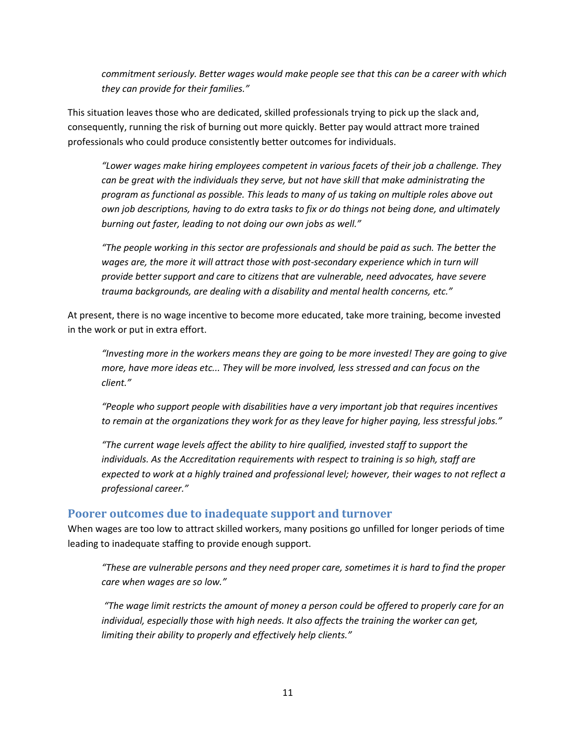*commitment seriously. Better wages would make people see that this can be a career with which they can provide for their families."*

This situation leaves those who are dedicated, skilled professionals trying to pick up the slack and, consequently, running the risk of burning out more quickly. Better pay would attract more trained professionals who could produce consistently better outcomes for individuals.

*"Lower wages make hiring employees competent in various facets of their job a challenge. They can be great with the individuals they serve, but not have skill that make administrating the program as functional as possible. This leads to many of us taking on multiple roles above out own job descriptions, having to do extra tasks to fix or do things not being done, and ultimately burning out faster, leading to not doing our own jobs as well."*

*"The people working in this sector are professionals and should be paid as such. The better the*  wages are, the more it will attract those with post-secondary experience which in turn will *provide better support and care to citizens that are vulnerable, need advocates, have severe trauma backgrounds, are dealing with a disability and mental health concerns, etc."*

At present, there is no wage incentive to become more educated, take more training, become invested in the work or put in extra effort.

*"Investing more in the workers means they are going to be more invested! They are going to give more, have more ideas etc... They will be more involved, less stressed and can focus on the client."*

*"People who support people with disabilities have a very important job that requires incentives to remain at the organizations they work for as they leave for higher paying, less stressful jobs."*

*"The current wage levels affect the ability to hire qualified, invested staff to support the individuals. As the Accreditation requirements with respect to training is so high, staff are expected to work at a highly trained and professional level; however, their wages to not reflect a professional career."*

#### <span id="page-10-0"></span>**Poorer outcomes due to inadequate support and turnover**

When wages are too low to attract skilled workers, many positions go unfilled for longer periods of time leading to inadequate staffing to provide enough support.

*"These are vulnerable persons and they need proper care, sometimes it is hard to find the proper care when wages are so low."*

*"The wage limit restricts the amount of money a person could be offered to properly care for an individual, especially those with high needs. It also affects the training the worker can get, limiting their ability to properly and effectively help clients."*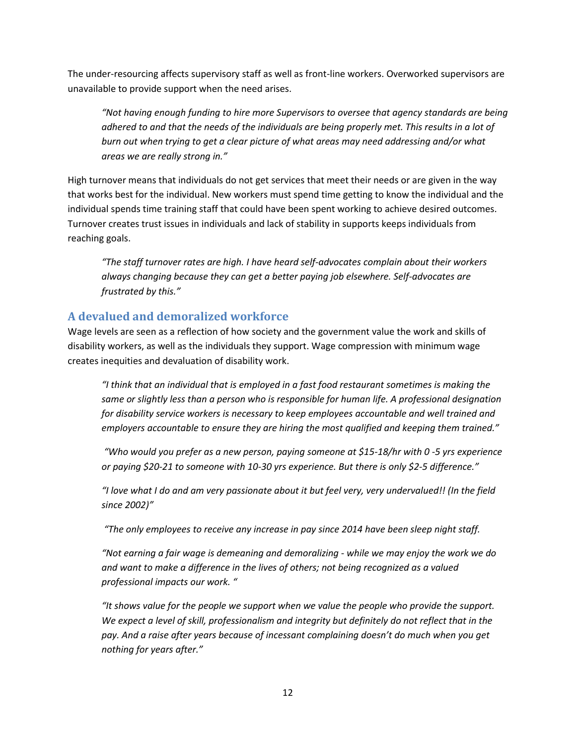The under-resourcing affects supervisory staff as well as front-line workers. Overworked supervisors are unavailable to provide support when the need arises.

*"Not having enough funding to hire more Supervisors to oversee that agency standards are being adhered to and that the needs of the individuals are being properly met. This results in a lot of burn out when trying to get a clear picture of what areas may need addressing and/or what areas we are really strong in."*

High turnover means that individuals do not get services that meet their needs or are given in the way that works best for the individual. New workers must spend time getting to know the individual and the individual spends time training staff that could have been spent working to achieve desired outcomes. Turnover creates trust issues in individuals and lack of stability in supports keeps individuals from reaching goals.

*"The staff turnover rates are high. I have heard self-advocates complain about their workers always changing because they can get a better paying job elsewhere. Self-advocates are frustrated by this."*

## <span id="page-11-0"></span>**A devalued and demoralized workforce**

Wage levels are seen as a reflection of how society and the government value the work and skills of disability workers, as well as the individuals they support. Wage compression with minimum wage creates inequities and devaluation of disability work.

*"I think that an individual that is employed in a fast food restaurant sometimes is making the same or slightly less than a person who is responsible for human life. A professional designation for disability service workers is necessary to keep employees accountable and well trained and employers accountable to ensure they are hiring the most qualified and keeping them trained."*

*"Who would you prefer as a new person, paying someone at \$15-18/hr with 0 -5 yrs experience or paying \$20-21 to someone with 10-30 yrs experience. But there is only \$2-5 difference."*

*"I love what I do and am very passionate about it but feel very, very undervalued!! (In the field since 2002)"*

*"The only employees to receive any increase in pay since 2014 have been sleep night staff.*

*"Not earning a fair wage is demeaning and demoralizing - while we may enjoy the work we do and want to make a difference in the lives of others; not being recognized as a valued professional impacts our work. "*

*"It shows value for the people we support when we value the people who provide the support.*  We expect a level of skill, professionalism and integrity but definitely do not reflect that in the *pay. And a raise after years because of incessant complaining doesn't do much when you get nothing for years after."*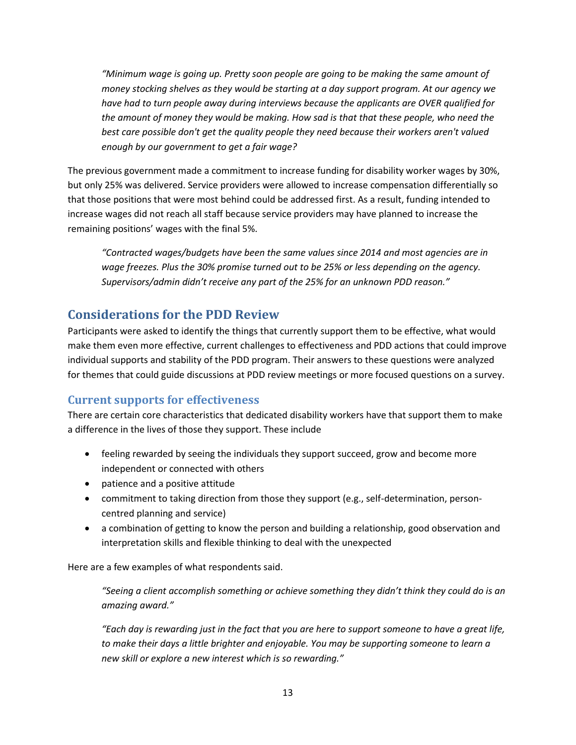*"Minimum wage is going up. Pretty soon people are going to be making the same amount of money stocking shelves as they would be starting at a day support program. At our agency we have had to turn people away during interviews because the applicants are OVER qualified for the amount of money they would be making. How sad is that that these people, who need the best care possible don't get the quality people they need because their workers aren't valued enough by our government to get a fair wage?*

The previous government made a commitment to increase funding for disability worker wages by 30%, but only 25% was delivered. Service providers were allowed to increase compensation differentially so that those positions that were most behind could be addressed first. As a result, funding intended to increase wages did not reach all staff because service providers may have planned to increase the remaining positions' wages with the final 5%.

*"Contracted wages/budgets have been the same values since 2014 and most agencies are in wage freezes. Plus the 30% promise turned out to be 25% or less depending on the agency. Supervisors/admin didn't receive any part of the 25% for an unknown PDD reason."*

## <span id="page-12-0"></span>**Considerations for the PDD Review**

Participants were asked to identify the things that currently support them to be effective, what would make them even more effective, current challenges to effectiveness and PDD actions that could improve individual supports and stability of the PDD program. Their answers to these questions were analyzed for themes that could guide discussions at PDD review meetings or more focused questions on a survey.

## <span id="page-12-1"></span>**Current supports for effectiveness**

There are certain core characteristics that dedicated disability workers have that support them to make a difference in the lives of those they support. These include

- feeling rewarded by seeing the individuals they support succeed, grow and become more independent or connected with others
- patience and a positive attitude
- commitment to taking direction from those they support (e.g., self-determination, personcentred planning and service)
- a combination of getting to know the person and building a relationship, good observation and interpretation skills and flexible thinking to deal with the unexpected

Here are a few examples of what respondents said.

*"Seeing a client accomplish something or achieve something they didn't think they could do is an amazing award."*

*"Each day is rewarding just in the fact that you are here to support someone to have a great life, to make their days a little brighter and enjoyable. You may be supporting someone to learn a new skill or explore a new interest which is so rewarding."*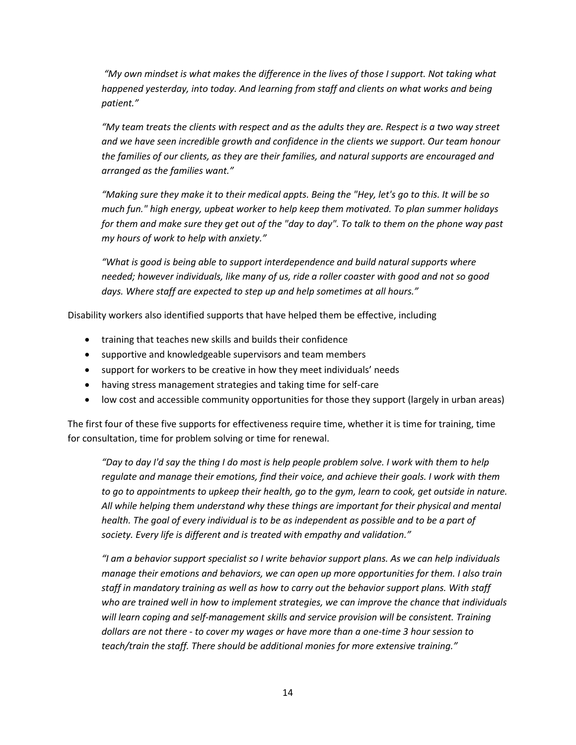*"My own mindset is what makes the difference in the lives of those I support. Not taking what*  happened yesterday, into today. And learning from staff and clients on what works and being *patient."*

*"My team treats the clients with respect and as the adults they are. Respect is a two way street and we have seen incredible growth and confidence in the clients we support. Our team honour the families of our clients, as they are their families, and natural supports are encouraged and arranged as the families want."*

*"Making sure they make it to their medical appts. Being the "Hey, let's go to this. It will be so much fun." high energy, upbeat worker to help keep them motivated. To plan summer holidays for them and make sure they get out of the "day to day". To talk to them on the phone way past my hours of work to help with anxiety."*

*"What is good is being able to support interdependence and build natural supports where needed; however individuals, like many of us, ride a roller coaster with good and not so good days. Where staff are expected to step up and help sometimes at all hours."*

Disability workers also identified supports that have helped them be effective, including

- training that teaches new skills and builds their confidence
- supportive and knowledgeable supervisors and team members
- support for workers to be creative in how they meet individuals' needs
- having stress management strategies and taking time for self-care
- low cost and accessible community opportunities for those they support (largely in urban areas)

The first four of these five supports for effectiveness require time, whether it is time for training, time for consultation, time for problem solving or time for renewal.

*"Day to day I'd say the thing I do most is help people problem solve. I work with them to help regulate and manage their emotions, find their voice, and achieve their goals. I work with them to go to appointments to upkeep their health, go to the gym, learn to cook, get outside in nature. All while helping them understand why these things are important for their physical and mental health. The goal of every individual is to be as independent as possible and to be a part of society. Every life is different and is treated with empathy and validation."* 

*"I am a behavior support specialist so I write behavior support plans. As we can help individuals manage their emotions and behaviors, we can open up more opportunities for them. I also train staff in mandatory training as well as how to carry out the behavior support plans. With staff who are trained well in how to implement strategies, we can improve the chance that individuals will learn coping and self-management skills and service provision will be consistent. Training dollars are not there - to cover my wages or have more than a one-time 3 hour session to teach/train the staff. There should be additional monies for more extensive training."*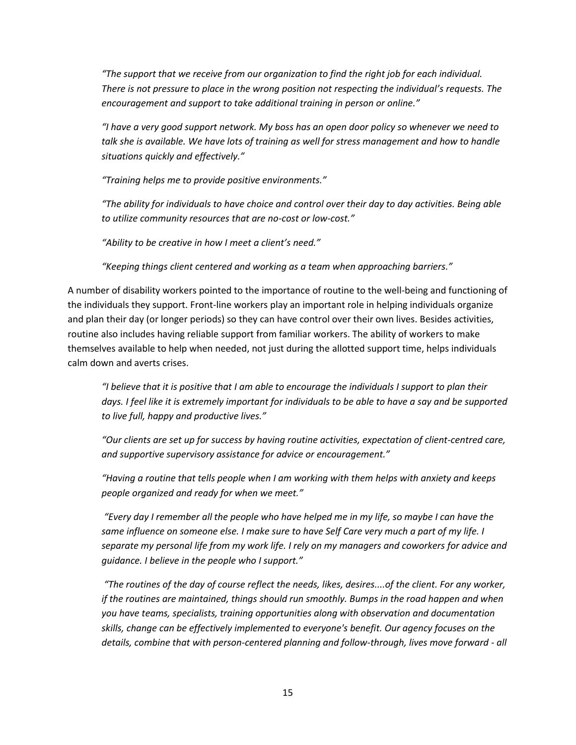*"The support that we receive from our organization to find the right job for each individual. There is not pressure to place in the wrong position not respecting the individual's requests. The encouragement and support to take additional training in person or online."*

*"I have a very good support network. My boss has an open door policy so whenever we need to talk she is available. We have lots of training as well for stress management and how to handle situations quickly and effectively."*

*"Training helps me to provide positive environments."*

*"The ability for individuals to have choice and control over their day to day activities. Being able to utilize community resources that are no-cost or low-cost."*

*"Ability to be creative in how I meet a client's need."*

*"Keeping things client centered and working as a team when approaching barriers."*

A number of disability workers pointed to the importance of routine to the well-being and functioning of the individuals they support. Front-line workers play an important role in helping individuals organize and plan their day (or longer periods) so they can have control over their own lives. Besides activities, routine also includes having reliable support from familiar workers. The ability of workers to make themselves available to help when needed, not just during the allotted support time, helps individuals calm down and averts crises.

*"I believe that it is positive that I am able to encourage the individuals I support to plan their days. I feel like it is extremely important for individuals to be able to have a say and be supported to live full, happy and productive lives."*

*"Our clients are set up for success by having routine activities, expectation of client-centred care, and supportive supervisory assistance for advice or encouragement."*

*"Having a routine that tells people when I am working with them helps with anxiety and keeps people organized and ready for when we meet."*

*"Every day I remember all the people who have helped me in my life, so maybe I can have the same influence on someone else. I make sure to have Self Care very much a part of my life. I separate my personal life from my work life. I rely on my managers and coworkers for advice and guidance. I believe in the people who I support."*

*"The routines of the day of course reflect the needs, likes, desires....of the client. For any worker, if the routines are maintained, things should run smoothly. Bumps in the road happen and when you have teams, specialists, training opportunities along with observation and documentation skills, change can be effectively implemented to everyone's benefit. Our agency focuses on the details, combine that with person-centered planning and follow-through, lives move forward - all*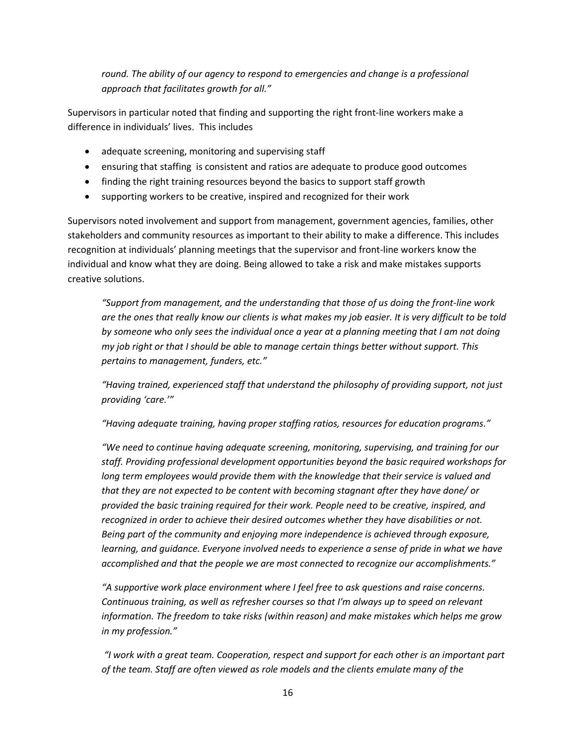*round. The ability of our agency to respond to emergencies and change is a professional approach that facilitates growth for all."*

Supervisors in particular noted that finding and supporting the right front-line workers make a difference in individuals' lives. This includes

- adequate screening, monitoring and supervising staff
- ensuring that staffing is consistent and ratios are adequate to produce good outcomes
- finding the right training resources beyond the basics to support staff growth
- supporting workers to be creative, inspired and recognized for their work

Supervisors noted involvement and support from management, government agencies, families, other stakeholders and community resources as important to their ability to make a difference. This includes recognition at individuals' planning meetings that the supervisor and front-line workers know the individual and know what they are doing. Being allowed to take a risk and make mistakes supports creative solutions.

*"Support from management, and the understanding that those of us doing the front-line work are the ones that really know our clients is what makes my job easier. It is very difficult to be told by someone who only sees the individual once a year at a planning meeting that I am not doing my job right or that I should be able to manage certain things better without support. This pertains to management, funders, etc."*

*"Having trained, experienced staff that understand the philosophy of providing support, not just providing 'care.'"*

*"Having adequate training, having proper staffing ratios, resources for education programs."*

*"We need to continue having adequate screening, monitoring, supervising, and training for our staff. Providing professional development opportunities beyond the basic required workshops for*  long term employees would provide them with the knowledge that their service is valued and *that they are not expected to be content with becoming stagnant after they have done/ or provided the basic training required for their work. People need to be creative, inspired, and recognized in order to achieve their desired outcomes whether they have disabilities or not. Being part of the community and enjoying more independence is achieved through exposure, learning, and quidance. Everyone involved needs to experience a sense of pride in what we have accomplished and that the people we are most connected to recognize our accomplishments."*

*"A supportive work place environment where I feel free to ask questions and raise concerns. Continuous training, as well as refresher courses so that I'm always up to speed on relevant information. The freedom to take risks (within reason) and make mistakes which helps me grow in my profession."*

*"I work with a great team. Cooperation, respect and support for each other is an important part of the team. Staff are often viewed as role models and the clients emulate many of the*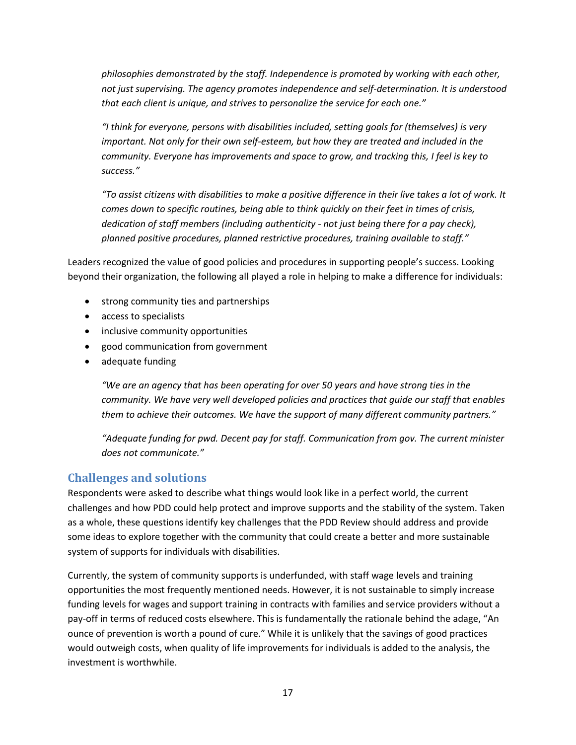*philosophies demonstrated by the staff. Independence is promoted by working with each other, not just supervising. The agency promotes independence and self-determination. It is understood that each client is unique, and strives to personalize the service for each one."*

*"I think for everyone, persons with disabilities included, setting goals for (themselves) is very important. Not only for their own self-esteem, but how they are treated and included in the community. Everyone has improvements and space to grow, and tracking this, I feel is key to success."*

*"To assist citizens with disabilities to make a positive difference in their live takes a lot of work. It comes down to specific routines, being able to think quickly on their feet in times of crisis, dedication of staff members (including authenticity - not just being there for a pay check), planned positive procedures, planned restrictive procedures, training available to staff."*

Leaders recognized the value of good policies and procedures in supporting people's success. Looking beyond their organization, the following all played a role in helping to make a difference for individuals:

- strong community ties and partnerships
- access to specialists
- inclusive community opportunities
- good communication from government
- adequate funding

*"We are an agency that has been operating for over 50 years and have strong ties in the community. We have very well developed policies and practices that guide our staff that enables them to achieve their outcomes. We have the support of many different community partners."*

*"Adequate funding for pwd. Decent pay for staff. Communication from gov. The current minister does not communicate."*

## <span id="page-16-0"></span>**Challenges and solutions**

Respondents were asked to describe what things would look like in a perfect world, the current challenges and how PDD could help protect and improve supports and the stability of the system. Taken as a whole, these questions identify key challenges that the PDD Review should address and provide some ideas to explore together with the community that could create a better and more sustainable system of supports for individuals with disabilities.

Currently, the system of community supports is underfunded, with staff wage levels and training opportunities the most frequently mentioned needs. However, it is not sustainable to simply increase funding levels for wages and support training in contracts with families and service providers without a pay-off in terms of reduced costs elsewhere. This is fundamentally the rationale behind the adage, "An ounce of prevention is worth a pound of cure." While it is unlikely that the savings of good practices would outweigh costs, when quality of life improvements for individuals is added to the analysis, the investment is worthwhile.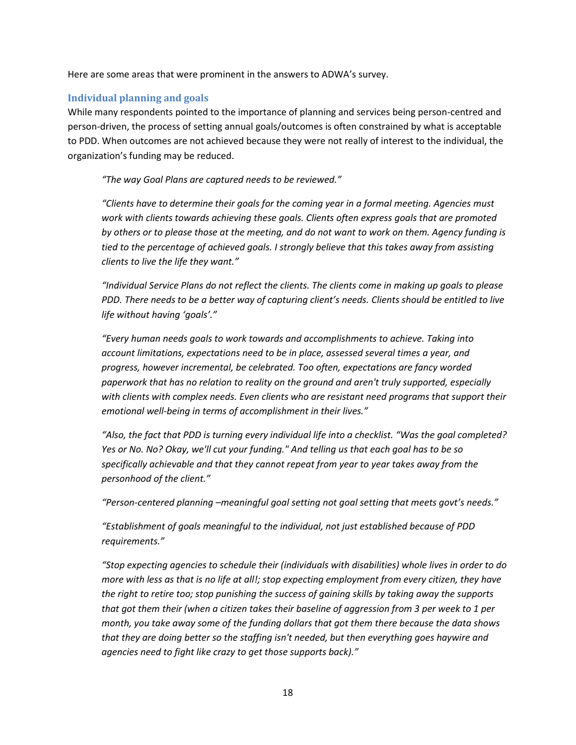Here are some areas that were prominent in the answers to ADWA's survey.

#### <span id="page-17-0"></span>**Individual planning and goals**

While many respondents pointed to the importance of planning and services being person-centred and person-driven, the process of setting annual goals/outcomes is often constrained by what is acceptable to PDD. When outcomes are not achieved because they were not really of interest to the individual, the organization's funding may be reduced.

*"The way Goal Plans are captured needs to be reviewed."*

*"Clients have to determine their goals for the coming year in a formal meeting. Agencies must work with clients towards achieving these goals. Clients often express goals that are promoted by others or to please those at the meeting, and do not want to work on them. Agency funding is tied to the percentage of achieved goals. I strongly believe that this takes away from assisting clients to live the life they want."*

*"Individual Service Plans do not reflect the clients. The clients come in making up goals to please PDD. There needs to be a better way of capturing client's needs. Clients should be entitled to live life without having 'goals'."*

*"Every human needs goals to work towards and accomplishments to achieve. Taking into account limitations, expectations need to be in place, assessed several times a year, and progress, however incremental, be celebrated. Too often, expectations are fancy worded paperwork that has no relation to reality on the ground and aren't truly supported, especially with clients with complex needs. Even clients who are resistant need programs that support their emotional well-being in terms of accomplishment in their lives."*

*"Also, the fact that PDD is turning every individual life into a checklist. "Was the goal completed? Yes or No. No? Okay, we'll cut your funding." And telling us that each goal has to be so specifically achievable and that they cannot repeat from year to year takes away from the personhood of the client."*

*"Person-centered planning –meaningful goal setting not goal setting that meets govt's needs."*

*"Establishment of goals meaningful to the individual, not just established because of PDD requirements."*

*"Stop expecting agencies to schedule their (individuals with disabilities) whole lives in order to do more with less as that is no life at all!; stop expecting employment from every citizen, they have the right to retire too; stop punishing the success of gaining skills by taking away the supports that got them their (when a citizen takes their baseline of aggression from 3 per week to 1 per month, you take away some of the funding dollars that got them there because the data shows that they are doing better so the staffing isn't needed, but then everything goes haywire and agencies need to fight like crazy to get those supports back)."*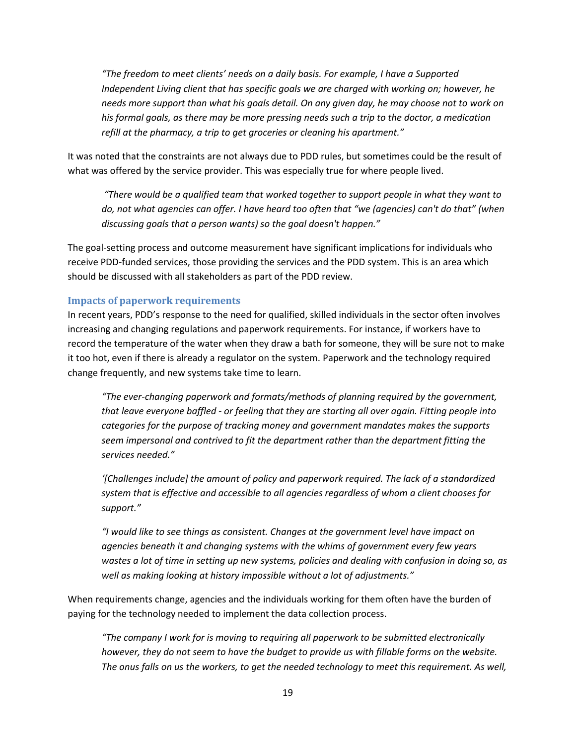*"The freedom to meet clients' needs on a daily basis. For example, I have a Supported Independent Living client that has specific goals we are charged with working on; however, he needs more support than what his goals detail. On any given day, he may choose not to work on his formal goals, as there may be more pressing needs such a trip to the doctor, a medication refill at the pharmacy, a trip to get groceries or cleaning his apartment."*

It was noted that the constraints are not always due to PDD rules, but sometimes could be the result of what was offered by the service provider. This was especially true for where people lived.

*"There would be a qualified team that worked together to support people in what they want to do, not what agencies can offer. I have heard too often that "we (agencies) can't do that" (when discussing goals that a person wants) so the goal doesn't happen."*

The goal-setting process and outcome measurement have significant implications for individuals who receive PDD-funded services, those providing the services and the PDD system. This is an area which should be discussed with all stakeholders as part of the PDD review.

#### <span id="page-18-0"></span>**Impacts of paperwork requirements**

In recent years, PDD's response to the need for qualified, skilled individuals in the sector often involves increasing and changing regulations and paperwork requirements. For instance, if workers have to record the temperature of the water when they draw a bath for someone, they will be sure not to make it too hot, even if there is already a regulator on the system. Paperwork and the technology required change frequently, and new systems take time to learn.

*"The ever-changing paperwork and formats/methods of planning required by the government, that leave everyone baffled - or feeling that they are starting all over again. Fitting people into categories for the purpose of tracking money and government mandates makes the supports seem impersonal and contrived to fit the department rather than the department fitting the services needed."*

*'[Challenges include] the amount of policy and paperwork required. The lack of a standardized system that is effective and accessible to all agencies regardless of whom a client chooses for support."*

*"I would like to see things as consistent. Changes at the government level have impact on agencies beneath it and changing systems with the whims of government every few years wastes a lot of time in setting up new systems, policies and dealing with confusion in doing so, as well as making looking at history impossible without a lot of adjustments."*

When requirements change, agencies and the individuals working for them often have the burden of paying for the technology needed to implement the data collection process.

*"The company I work for is moving to requiring all paperwork to be submitted electronically however, they do not seem to have the budget to provide us with fillable forms on the website. The onus falls on us the workers, to get the needed technology to meet this requirement. As well,*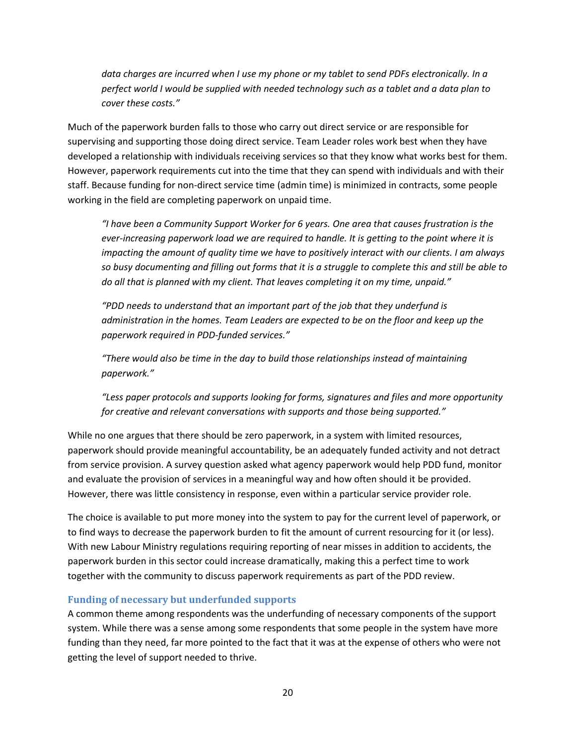*data charges are incurred when I use my phone or my tablet to send PDFs electronically. In a perfect world I would be supplied with needed technology such as a tablet and a data plan to cover these costs."*

Much of the paperwork burden falls to those who carry out direct service or are responsible for supervising and supporting those doing direct service. Team Leader roles work best when they have developed a relationship with individuals receiving services so that they know what works best for them. However, paperwork requirements cut into the time that they can spend with individuals and with their staff. Because funding for non-direct service time (admin time) is minimized in contracts, some people working in the field are completing paperwork on unpaid time.

*"I have been a Community Support Worker for 6 years. One area that causes frustration is the ever-increasing paperwork load we are required to handle. It is getting to the point where it is impacting the amount of quality time we have to positively interact with our clients. I am always so busy documenting and filling out forms that it is a struggle to complete this and still be able to do all that is planned with my client. That leaves completing it on my time, unpaid."*

*"PDD needs to understand that an important part of the job that they underfund is administration in the homes. Team Leaders are expected to be on the floor and keep up the paperwork required in PDD-funded services."*

*"There would also be time in the day to build those relationships instead of maintaining paperwork."*

*"Less paper protocols and supports looking for forms, signatures and files and more opportunity for creative and relevant conversations with supports and those being supported."*

While no one argues that there should be zero paperwork, in a system with limited resources, paperwork should provide meaningful accountability, be an adequately funded activity and not detract from service provision. A survey question asked what agency paperwork would help PDD fund, monitor and evaluate the provision of services in a meaningful way and how often should it be provided. However, there was little consistency in response, even within a particular service provider role.

The choice is available to put more money into the system to pay for the current level of paperwork, or to find ways to decrease the paperwork burden to fit the amount of current resourcing for it (or less). With new Labour Ministry regulations requiring reporting of near misses in addition to accidents, the paperwork burden in this sector could increase dramatically, making this a perfect time to work together with the community to discuss paperwork requirements as part of the PDD review.

#### <span id="page-19-0"></span>**Funding of necessary but underfunded supports**

A common theme among respondents was the underfunding of necessary components of the support system. While there was a sense among some respondents that some people in the system have more funding than they need, far more pointed to the fact that it was at the expense of others who were not getting the level of support needed to thrive.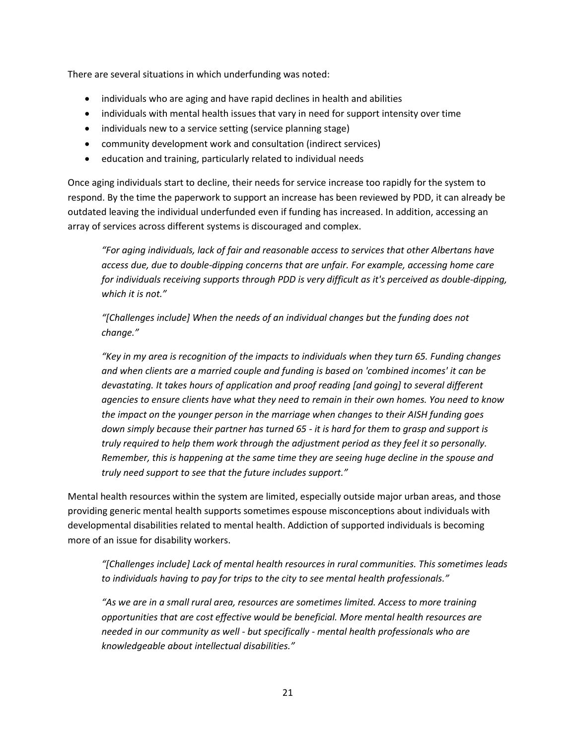There are several situations in which underfunding was noted:

- individuals who are aging and have rapid declines in health and abilities
- individuals with mental health issues that vary in need for support intensity over time
- individuals new to a service setting (service planning stage)
- community development work and consultation (indirect services)
- education and training, particularly related to individual needs

Once aging individuals start to decline, their needs for service increase too rapidly for the system to respond. By the time the paperwork to support an increase has been reviewed by PDD, it can already be outdated leaving the individual underfunded even if funding has increased. In addition, accessing an array of services across different systems is discouraged and complex.

*"For aging individuals, lack of fair and reasonable access to services that other Albertans have access due, due to double-dipping concerns that are unfair. For example, accessing home care for individuals receiving supports through PDD is very difficult as it's perceived as double-dipping, which it is not."*

*"[Challenges include] When the needs of an individual changes but the funding does not change."*

*"Key in my area is recognition of the impacts to individuals when they turn 65. Funding changes and when clients are a married couple and funding is based on 'combined incomes' it can be devastating. It takes hours of application and proof reading [and going] to several different agencies to ensure clients have what they need to remain in their own homes. You need to know the impact on the younger person in the marriage when changes to their AISH funding goes down simply because their partner has turned 65 - it is hard for them to grasp and support is truly required to help them work through the adjustment period as they feel it so personally. Remember, this is happening at the same time they are seeing huge decline in the spouse and truly need support to see that the future includes support."*

Mental health resources within the system are limited, especially outside major urban areas, and those providing generic mental health supports sometimes espouse misconceptions about individuals with developmental disabilities related to mental health. Addiction of supported individuals is becoming more of an issue for disability workers.

*"[Challenges include] Lack of mental health resources in rural communities. This sometimes leads to individuals having to pay for trips to the city to see mental health professionals."*

*"As we are in a small rural area, resources are sometimes limited. Access to more training opportunities that are cost effective would be beneficial. More mental health resources are needed in our community as well - but specifically - mental health professionals who are knowledgeable about intellectual disabilities."*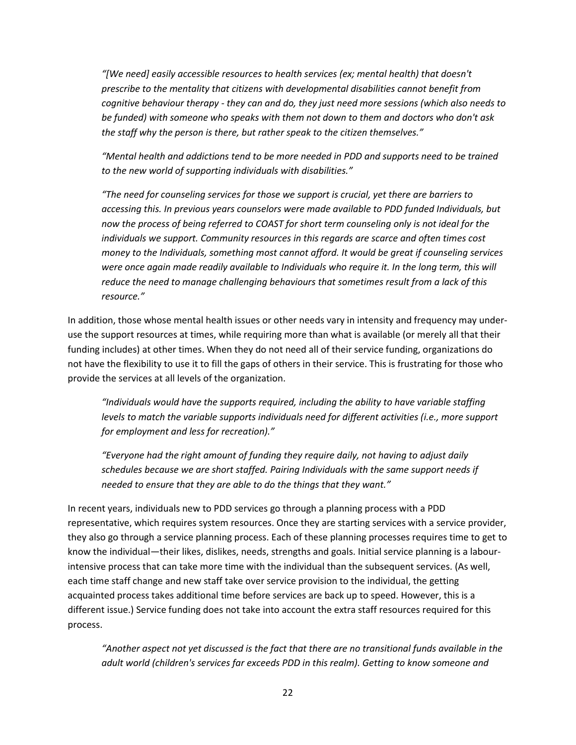*"[We need] easily accessible resources to health services (ex; mental health) that doesn't prescribe to the mentality that citizens with developmental disabilities cannot benefit from cognitive behaviour therapy - they can and do, they just need more sessions (which also needs to be funded) with someone who speaks with them not down to them and doctors who don't ask the staff why the person is there, but rather speak to the citizen themselves."*

*"Mental health and addictions tend to be more needed in PDD and supports need to be trained to the new world of supporting individuals with disabilities."*

*"The need for counseling services for those we support is crucial, yet there are barriers to accessing this. In previous years counselors were made available to PDD funded Individuals, but now the process of being referred to COAST for short term counseling only is not ideal for the individuals we support. Community resources in this regards are scarce and often times cost money to the Individuals, something most cannot afford. It would be great if counseling services*  were once again made readily available to Individuals who require it. In the long term, this will *reduce the need to manage challenging behaviours that sometimes result from a lack of this resource."*

In addition, those whose mental health issues or other needs vary in intensity and frequency may underuse the support resources at times, while requiring more than what is available (or merely all that their funding includes) at other times. When they do not need all of their service funding, organizations do not have the flexibility to use it to fill the gaps of others in their service. This is frustrating for those who provide the services at all levels of the organization.

*"Individuals would have the supports required, including the ability to have variable staffing levels to match the variable supports individuals need for different activities (i.e., more support for employment and less for recreation)."*

*"Everyone had the right amount of funding they require daily, not having to adjust daily schedules because we are short staffed. Pairing Individuals with the same support needs if needed to ensure that they are able to do the things that they want."*

In recent years, individuals new to PDD services go through a planning process with a PDD representative, which requires system resources. Once they are starting services with a service provider, they also go through a service planning process. Each of these planning processes requires time to get to know the individual—their likes, dislikes, needs, strengths and goals. Initial service planning is a labourintensive process that can take more time with the individual than the subsequent services. (As well, each time staff change and new staff take over service provision to the individual, the getting acquainted process takes additional time before services are back up to speed. However, this is a different issue.) Service funding does not take into account the extra staff resources required for this process.

*"Another aspect not yet discussed is the fact that there are no transitional funds available in the adult world (children's services far exceeds PDD in this realm). Getting to know someone and*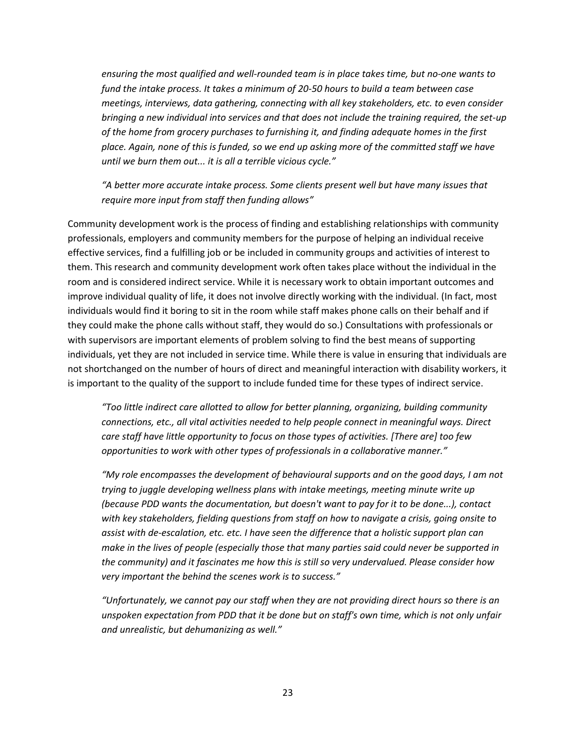*ensuring the most qualified and well-rounded team is in place takes time, but no-one wants to fund the intake process. It takes a minimum of 20-50 hours to build a team between case meetings, interviews, data gathering, connecting with all key stakeholders, etc. to even consider bringing a new individual into services and that does not include the training required, the set-up of the home from grocery purchases to furnishing it, and finding adequate homes in the first place. Again, none of this is funded, so we end up asking more of the committed staff we have until we burn them out... it is all a terrible vicious cycle."*

*"A better more accurate intake process. Some clients present well but have many issues that require more input from staff then funding allows"*

Community development work is the process of finding and establishing relationships with community professionals, employers and community members for the purpose of helping an individual receive effective services, find a fulfilling job or be included in community groups and activities of interest to them. This research and community development work often takes place without the individual in the room and is considered indirect service. While it is necessary work to obtain important outcomes and improve individual quality of life, it does not involve directly working with the individual. (In fact, most individuals would find it boring to sit in the room while staff makes phone calls on their behalf and if they could make the phone calls without staff, they would do so.) Consultations with professionals or with supervisors are important elements of problem solving to find the best means of supporting individuals, yet they are not included in service time. While there is value in ensuring that individuals are not shortchanged on the number of hours of direct and meaningful interaction with disability workers, it is important to the quality of the support to include funded time for these types of indirect service.

*"Too little indirect care allotted to allow for better planning, organizing, building community connections, etc., all vital activities needed to help people connect in meaningful ways. Direct care staff have little opportunity to focus on those types of activities. [There are] too few opportunities to work with other types of professionals in a collaborative manner."*

*"My role encompasses the development of behavioural supports and on the good days, I am not trying to juggle developing wellness plans with intake meetings, meeting minute write up (because PDD wants the documentation, but doesn't want to pay for it to be done...), contact with key stakeholders, fielding questions from staff on how to navigate a crisis, going onsite to assist with de-escalation, etc. etc. I have seen the difference that a holistic support plan can make in the lives of people (especially those that many parties said could never be supported in the community) and it fascinates me how this is still so very undervalued. Please consider how very important the behind the scenes work is to success."*

*"Unfortunately, we cannot pay our staff when they are not providing direct hours so there is an unspoken expectation from PDD that it be done but on staff's own time, which is not only unfair and unrealistic, but dehumanizing as well."*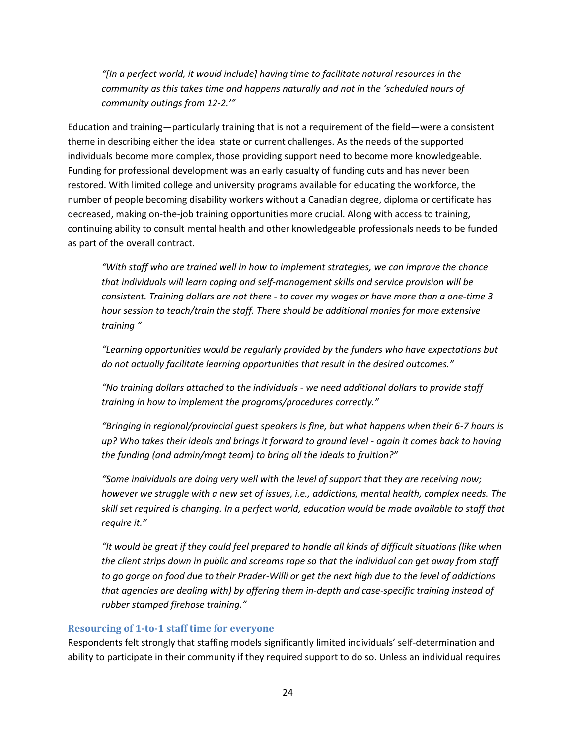*"[In a perfect world, it would include] having time to facilitate natural resources in the community as this takes time and happens naturally and not in the 'scheduled hours of community outings from 12-2.'"*

Education and training—particularly training that is not a requirement of the field—were a consistent theme in describing either the ideal state or current challenges. As the needs of the supported individuals become more complex, those providing support need to become more knowledgeable. Funding for professional development was an early casualty of funding cuts and has never been restored. With limited college and university programs available for educating the workforce, the number of people becoming disability workers without a Canadian degree, diploma or certificate has decreased, making on-the-job training opportunities more crucial. Along with access to training, continuing ability to consult mental health and other knowledgeable professionals needs to be funded as part of the overall contract.

*"With staff who are trained well in how to implement strategies, we can improve the chance that individuals will learn coping and self-management skills and service provision will be consistent. Training dollars are not there - to cover my wages or have more than a one-time 3 hour session to teach/train the staff. There should be additional monies for more extensive training "*

*"Learning opportunities would be regularly provided by the funders who have expectations but do not actually facilitate learning opportunities that result in the desired outcomes."*

*"No training dollars attached to the individuals - we need additional dollars to provide staff training in how to implement the programs/procedures correctly."*

*"Bringing in regional/provincial guest speakers is fine, but what happens when their 6-7 hours is up? Who takes their ideals and brings it forward to ground level - again it comes back to having the funding (and admin/mngt team) to bring all the ideals to fruition?"*

*"Some individuals are doing very well with the level of support that they are receiving now; however we struggle with a new set of issues, i.e., addictions, mental health, complex needs. The skill set required is changing. In a perfect world, education would be made available to staff that require it."*

*"It would be great if they could feel prepared to handle all kinds of difficult situations (like when the client strips down in public and screams rape so that the individual can get away from staff to go gorge on food due to their Prader-Willi or get the next high due to the level of addictions that agencies are dealing with) by offering them in-depth and case-specific training instead of rubber stamped firehose training."*

#### <span id="page-23-0"></span>**Resourcing of 1-to-1 staff time for everyone**

Respondents felt strongly that staffing models significantly limited individuals' self-determination and ability to participate in their community if they required support to do so. Unless an individual requires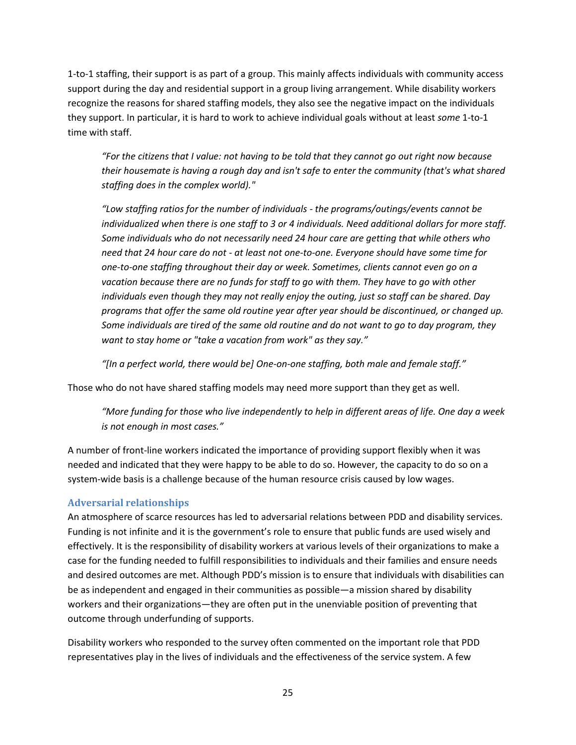1-to-1 staffing, their support is as part of a group. This mainly affects individuals with community access support during the day and residential support in a group living arrangement. While disability workers recognize the reasons for shared staffing models, they also see the negative impact on the individuals they support. In particular, it is hard to work to achieve individual goals without at least *some* 1-to-1 time with staff.

*"For the citizens that I value: not having to be told that they cannot go out right now because their housemate is having a rough day and isn't safe to enter the community (that's what shared staffing does in the complex world)."*

*"Low staffing ratios for the number of individuals - the programs/outings/events cannot be individualized when there is one staff to 3 or 4 individuals. Need additional dollars for more staff. Some individuals who do not necessarily need 24 hour care are getting that while others who need that 24 hour care do not - at least not one-to-one. Everyone should have some time for one-to-one staffing throughout their day or week. Sometimes, clients cannot even go on a vacation because there are no funds for staff to go with them. They have to go with other individuals even though they may not really enjoy the outing, just so staff can be shared. Day programs that offer the same old routine year after year should be discontinued, or changed up. Some individuals are tired of the same old routine and do not want to go to day program, they want to stay home or "take a vacation from work" as they say."*

*"[In a perfect world, there would be] One-on-one staffing, both male and female staff."*

Those who do not have shared staffing models may need more support than they get as well.

*"More funding for those who live independently to help in different areas of life. One day a week is not enough in most cases."*

A number of front-line workers indicated the importance of providing support flexibly when it was needed and indicated that they were happy to be able to do so. However, the capacity to do so on a system-wide basis is a challenge because of the human resource crisis caused by low wages.

#### <span id="page-24-0"></span>**Adversarial relationships**

An atmosphere of scarce resources has led to adversarial relations between PDD and disability services. Funding is not infinite and it is the government's role to ensure that public funds are used wisely and effectively. It is the responsibility of disability workers at various levels of their organizations to make a case for the funding needed to fulfill responsibilities to individuals and their families and ensure needs and desired outcomes are met. Although PDD's mission is to ensure that individuals with disabilities can be as independent and engaged in their communities as possible—a mission shared by disability workers and their organizations—they are often put in the unenviable position of preventing that outcome through underfunding of supports.

Disability workers who responded to the survey often commented on the important role that PDD representatives play in the lives of individuals and the effectiveness of the service system. A few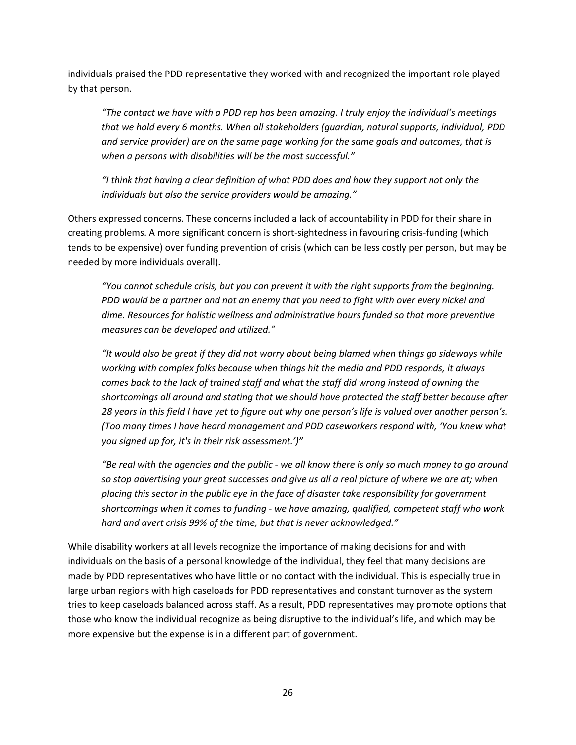individuals praised the PDD representative they worked with and recognized the important role played by that person.

*"The contact we have with a PDD rep has been amazing. I truly enjoy the individual's meetings that we hold every 6 months. When all stakeholders (guardian, natural supports, individual, PDD and service provider) are on the same page working for the same goals and outcomes, that is when a persons with disabilities will be the most successful."*

*"I think that having a clear definition of what PDD does and how they support not only the individuals but also the service providers would be amazing."*

Others expressed concerns. These concerns included a lack of accountability in PDD for their share in creating problems. A more significant concern is short-sightedness in favouring crisis-funding (which tends to be expensive) over funding prevention of crisis (which can be less costly per person, but may be needed by more individuals overall).

*"You cannot schedule crisis, but you can prevent it with the right supports from the beginning. PDD would be a partner and not an enemy that you need to fight with over every nickel and dime. Resources for holistic wellness and administrative hours funded so that more preventive measures can be developed and utilized."* 

*"It would also be great if they did not worry about being blamed when things go sideways while working with complex folks because when things hit the media and PDD responds, it always comes back to the lack of trained staff and what the staff did wrong instead of owning the shortcomings all around and stating that we should have protected the staff better because after 28 years in this field I have yet to figure out why one person's life is valued over another person's. (Too many times I have heard management and PDD caseworkers respond with, 'You knew what you signed up for, it's in their risk assessment.')"*

*"Be real with the agencies and the public - we all know there is only so much money to go around so stop advertising your great successes and give us all a real picture of where we are at; when placing this sector in the public eye in the face of disaster take responsibility for government shortcomings when it comes to funding - we have amazing, qualified, competent staff who work hard and avert crisis 99% of the time, but that is never acknowledged."*

While disability workers at all levels recognize the importance of making decisions for and with individuals on the basis of a personal knowledge of the individual, they feel that many decisions are made by PDD representatives who have little or no contact with the individual. This is especially true in large urban regions with high caseloads for PDD representatives and constant turnover as the system tries to keep caseloads balanced across staff. As a result, PDD representatives may promote options that those who know the individual recognize as being disruptive to the individual's life, and which may be more expensive but the expense is in a different part of government.